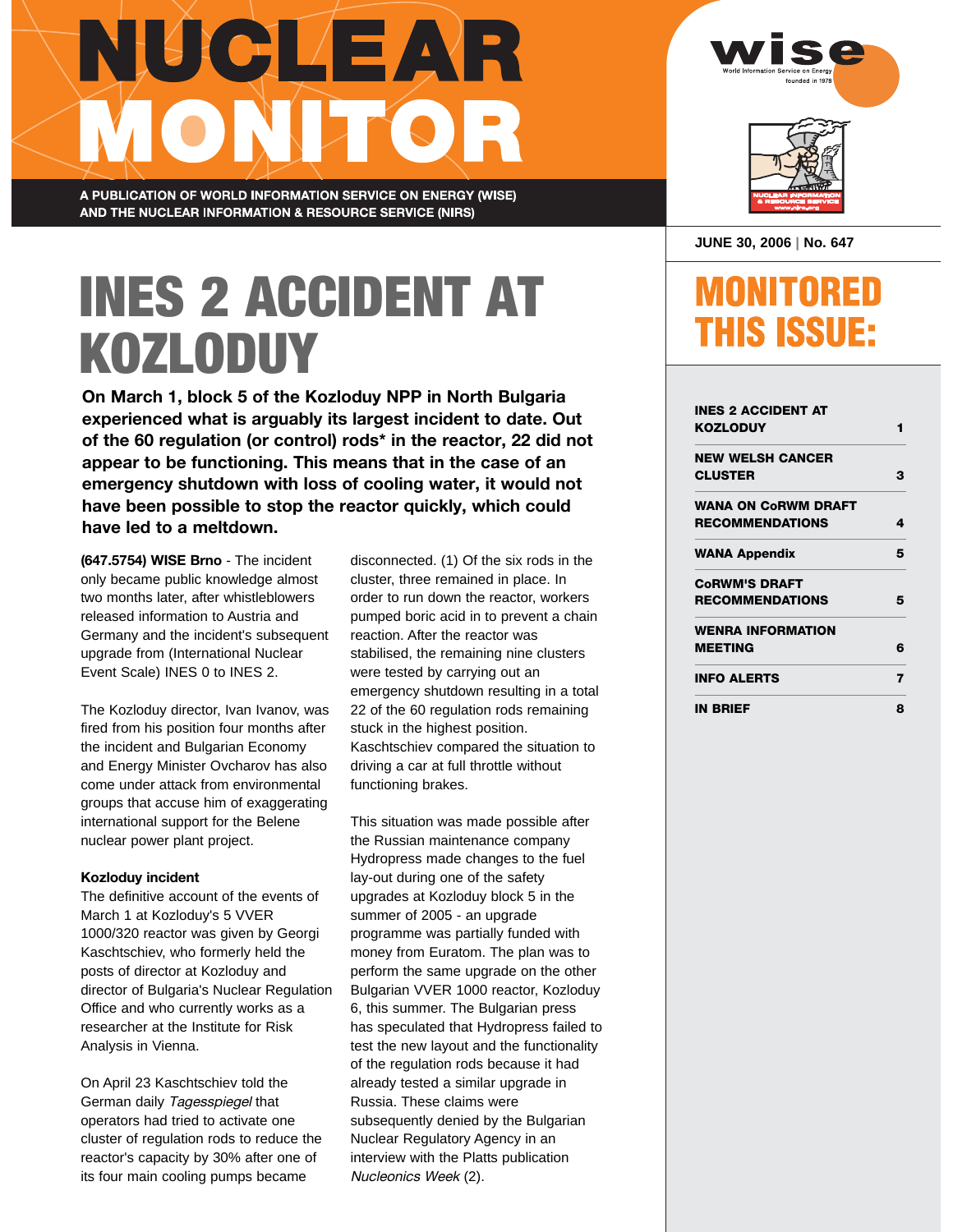# NUCLEAR ONLAGR

A PUBLICATION OF WORLD INFORMATION SERVICE ON ENERGY (WISE) AND THE NUCLEAR INFORMATION & RESOURCE SERVICE (NIRS)

# INES 2 ACCIDENT AT KOZLODUY

**On March 1, block 5 of the Kozloduy NPP in North Bulgaria experienced what is arguably its largest incident to date. Out of the 60 regulation (or control) rods\* in the reactor, 22 did not appear to be functioning. This means that in the case of an emergency shutdown with loss of cooling water, it would not have been possible to stop the reactor quickly, which could have led to a meltdown.**

**(647.5754) WISE Brno** - The incident only became public knowledge almost two months later, after whistleblowers released information to Austria and Germany and the incident's subsequent upgrade from (International Nuclear Event Scale) INES 0 to INES 2.

The Kozloduy director, Ivan Ivanov, was fired from his position four months after the incident and Bulgarian Economy and Energy Minister Ovcharov has also come under attack from environmental groups that accuse him of exaggerating international support for the Belene nuclear power plant project.

#### **Kozloduy incident**

The definitive account of the events of March 1 at Kozloduy's 5 VVER 1000/320 reactor was given by Georgi Kaschtschiev, who formerly held the posts of director at Kozloduy and director of Bulgaria's Nuclear Regulation Office and who currently works as a researcher at the Institute for Risk Analysis in Vienna.

On April 23 Kaschtschiev told the German daily Tagesspiegel that operators had tried to activate one cluster of regulation rods to reduce the reactor's capacity by 30% after one of its four main cooling pumps became

disconnected. (1) Of the six rods in the cluster, three remained in place. In order to run down the reactor, workers pumped boric acid in to prevent a chain reaction. After the reactor was stabilised, the remaining nine clusters were tested by carrying out an emergency shutdown resulting in a total 22 of the 60 regulation rods remaining stuck in the highest position. Kaschtschiev compared the situation to driving a car at full throttle without functioning brakes.

This situation was made possible after the Russian maintenance company Hydropress made changes to the fuel lay-out during one of the safety upgrades at Kozloduy block 5 in the summer of 2005 - an upgrade programme was partially funded with money from Euratom. The plan was to perform the same upgrade on the other Bulgarian VVER 1000 reactor, Kozloduy 6, this summer. The Bulgarian press has speculated that Hydropress failed to test the new layout and the functionality of the regulation rods because it had already tested a similar upgrade in Russia. These claims were subsequently denied by the Bulgarian Nuclear Regulatory Agency in an interview with the Platts publication Nucleonics Week (2).



| JUNE 30, 2006   No. 647 |  |  |  |  |
|-------------------------|--|--|--|--|
|-------------------------|--|--|--|--|

### **MONITORED THIS ISSUE:**

| INES 2 ACCIDENT AT         |   |
|----------------------------|---|
| KOZLODUY                   | 1 |
| <b>NEW WELSH CANCER</b>    |   |
| <b>CLUSTER</b>             | з |
| <b>WANA ON CoRWM DRAFT</b> |   |
| <b>RECOMMENDATIONS</b>     | 4 |
| <b>WANA Appendix</b>       | 5 |
| <b>CORWM'S DRAFT</b>       |   |
| <b>RECOMMENDATIONS</b>     | 5 |
| <b>WENRA INFORMATION</b>   |   |
| <b>MEETING</b>             | 6 |
| <b>INFO ALERTS</b>         | 7 |
| <b>IN BRIEF</b>            | 8 |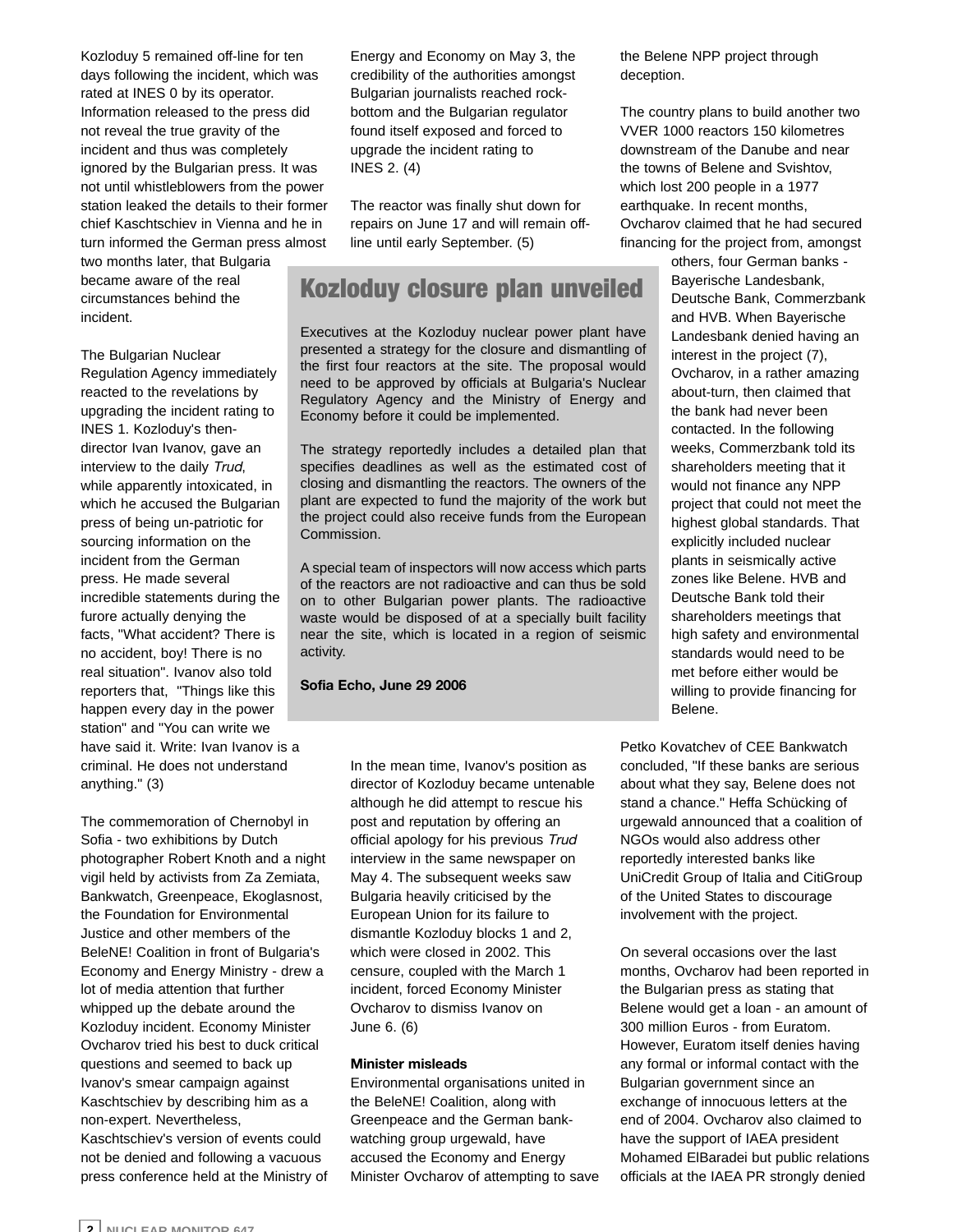Kozloduy 5 remained off-line for ten days following the incident, which was rated at INES 0 by its operator. Information released to the press did not reveal the true gravity of the incident and thus was completely ignored by the Bulgarian press. It was not until whistleblowers from the power station leaked the details to their former chief Kaschtschiev in Vienna and he in turn informed the German press almost

two months later, that Bulgaria became aware of the real circumstances behind the incident.

#### The Bulgarian Nuclear

Regulation Agency immediately reacted to the revelations by upgrading the incident rating to INES 1. Kozloduy's thendirector Ivan Ivanov, gave an interview to the daily Trud, while apparently intoxicated, in which he accused the Bulgarian press of being un-patriotic for sourcing information on the incident from the German press. He made several incredible statements during the furore actually denying the facts, "What accident? There is no accident, boy! There is no real situation". Ivanov also told reporters that, "Things like this happen every day in the power station" and "You can write we have said it. Write: Ivan Ivanov is a criminal. He does not understand anything." (3)

The commemoration of Chernobyl in Sofia - two exhibitions by Dutch photographer Robert Knoth and a night vigil held by activists from Za Zemiata, Bankwatch, Greenpeace, Ekoglasnost, the Foundation for Environmental Justice and other members of the BeleNE! Coalition in front of Bulgaria's Economy and Energy Ministry - drew a lot of media attention that further whipped up the debate around the Kozloduy incident. Economy Minister Ovcharov tried his best to duck critical questions and seemed to back up Ivanov's smear campaign against Kaschtschiev by describing him as a non-expert. Nevertheless, Kaschtschiev's version of events could not be denied and following a vacuous press conference held at the Ministry of

Energy and Economy on May 3, the credibility of the authorities amongst Bulgarian journalists reached rockbottom and the Bulgarian regulator found itself exposed and forced to upgrade the incident rating to INES 2. (4)

The reactor was finally shut down for repairs on June 17 and will remain offline until early September. (5)

### Kozloduy closure plan unveiled

Executives at the Kozloduy nuclear power plant have presented a strategy for the closure and dismantling of the first four reactors at the site. The proposal would need to be approved by officials at Bulgaria's Nuclear Regulatory Agency and the Ministry of Energy and Economy before it could be implemented.

The strategy reportedly includes a detailed plan that specifies deadlines as well as the estimated cost of closing and dismantling the reactors. The owners of the plant are expected to fund the majority of the work but the project could also receive funds from the European Commission.

A special team of inspectors will now access which parts of the reactors are not radioactive and can thus be sold on to other Bulgarian power plants. The radioactive waste would be disposed of at a specially built facility near the site, which is located in a region of seismic activity.

#### **Sofia Echo, June 29 2006**

In the mean time, Ivanov's position as director of Kozloduy became untenable although he did attempt to rescue his post and reputation by offering an official apology for his previous Trud interview in the same newspaper on May 4. The subsequent weeks saw Bulgaria heavily criticised by the European Union for its failure to dismantle Kozloduy blocks 1 and 2, which were closed in 2002. This censure, coupled with the March 1 incident, forced Economy Minister Ovcharov to dismiss Ivanov on June 6. (6)

#### **Minister misleads**

Environmental organisations united in the BeleNE! Coalition, along with Greenpeace and the German bankwatching group urgewald, have accused the Economy and Energy Minister Ovcharov of attempting to save the Belene NPP project through deception.

The country plans to build another two VVER 1000 reactors 150 kilometres downstream of the Danube and near the towns of Belene and Svishtov, which lost 200 people in a 1977 earthquake. In recent months, Ovcharov claimed that he had secured financing for the project from, amongst

> others, four German banks - Bayerische Landesbank, Deutsche Bank, Commerzbank and HVB. When Bayerische Landesbank denied having an interest in the project (7), Ovcharov, in a rather amazing about-turn, then claimed that the bank had never been contacted. In the following weeks, Commerzbank told its shareholders meeting that it would not finance any NPP project that could not meet the highest global standards. That explicitly included nuclear plants in seismically active zones like Belene. HVB and Deutsche Bank told their shareholders meetings that high safety and environmental standards would need to be met before either would be willing to provide financing for Belene.

Petko Kovatchev of CEE Bankwatch concluded, "If these banks are serious about what they say, Belene does not stand a chance." Heffa Schücking of urgewald announced that a coalition of NGOs would also address other reportedly interested banks like UniCredit Group of Italia and CitiGroup of the United States to discourage involvement with the project.

On several occasions over the last months, Ovcharov had been reported in the Bulgarian press as stating that Belene would get a loan - an amount of 300 million Euros - from Euratom. However, Euratom itself denies having any formal or informal contact with the Bulgarian government since an exchange of innocuous letters at the end of 2004. Ovcharov also claimed to have the support of IAEA president Mohamed ElBaradei but public relations officials at the IAEA PR strongly denied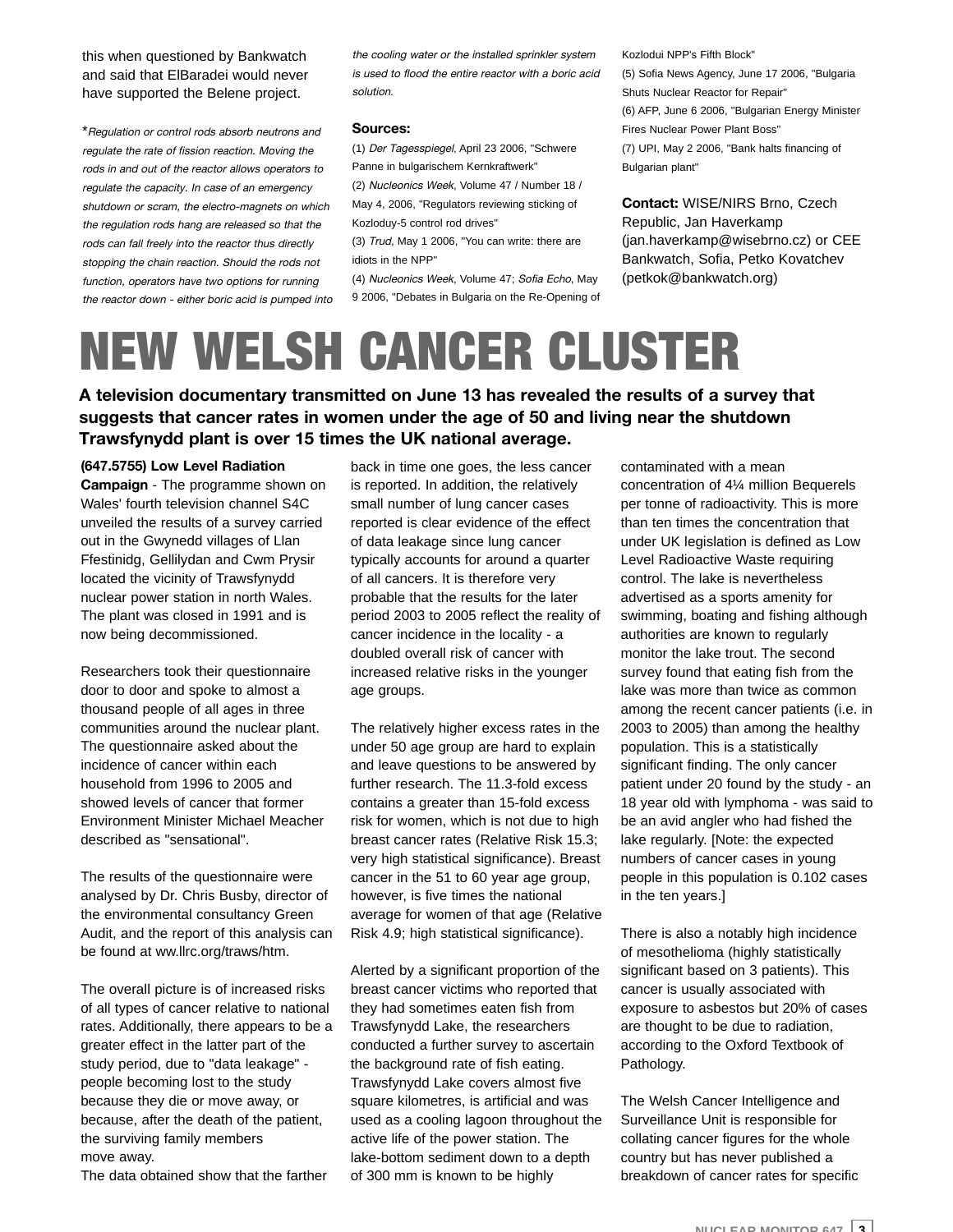this when questioned by Bankwatch and said that ElBaradei would never have supported the Belene project.

\*Regulation or control rods absorb neutrons and regulate the rate of fission reaction. Moving the rods in and out of the reactor allows operators to regulate the capacity. In case of an emergency shutdown or scram, the electro-magnets on which the regulation rods hang are released so that the rods can fall freely into the reactor thus directly stopping the chain reaction. Should the rods not function, operators have two options for running the reactor down - either boric acid is pumped into the cooling water or the installed sprinkler system is used to flood the entire reactor with a boric acid solution.

#### **Sources:**

(1) Der Tagesspiegel, April 23 2006, "Schwere Panne in bulgarischem Kernkraftwerk" (2) Nucleonics Week, Volume 47 / Number 18 / May 4, 2006, "Regulators reviewing sticking of

Kozloduy-5 control rod drives"

(3) Trud, May 1 2006, "You can write: there are idiots in the NPP"

(4) Nucleonics Week, Volume 47; Sofia Echo, May 9 2006, "Debates in Bulgaria on the Re-Opening of Kozlodui NPP's Fifth Block" (5) Sofia News Agency, June 17 2006, "Bulgaria Shuts Nuclear Reactor for Repair" (6) AFP, June 6 2006, "Bulgarian Energy Minister Fires Nuclear Power Plant Boss" (7) UPI, May 2 2006, "Bank halts financing of Bulgarian plant"

**Contact:** WISE/NIRS Brno, Czech Republic, Jan Haverkamp (jan.haverkamp@wisebrno.cz) or CEE Bankwatch, Sofia, Petko Kovatchev (petkok@bankwatch.org)

# NEW WELSH CANCER CLUSTER

**A television documentary transmitted on June 13 has revealed the results of a survey that suggests that cancer rates in women under the age of 50 and living near the shutdown Trawsfynydd plant is over 15 times the UK national average.**

#### **(647.5755) Low Level Radiation**

**Campaign** - The programme shown on Wales' fourth television channel S4C unveiled the results of a survey carried out in the Gwynedd villages of Llan Ffestinidg, Gellilydan and Cwm Prysir located the vicinity of Trawsfynydd nuclear power station in north Wales. The plant was closed in 1991 and is now being decommissioned.

Researchers took their questionnaire door to door and spoke to almost a thousand people of all ages in three communities around the nuclear plant. The questionnaire asked about the incidence of cancer within each household from 1996 to 2005 and showed levels of cancer that former Environment Minister Michael Meacher described as "sensational".

The results of the questionnaire were analysed by Dr. Chris Busby, director of the environmental consultancy Green Audit, and the report of this analysis can be found at ww.llrc.org/traws/htm.

The overall picture is of increased risks of all types of cancer relative to national rates. Additionally, there appears to be a greater effect in the latter part of the study period, due to "data leakage" people becoming lost to the study because they die or move away, or because, after the death of the patient, the surviving family members move away.

The data obtained show that the farther

back in time one goes, the less cancer is reported. In addition, the relatively small number of lung cancer cases reported is clear evidence of the effect of data leakage since lung cancer typically accounts for around a quarter of all cancers. It is therefore very probable that the results for the later period 2003 to 2005 reflect the reality of cancer incidence in the locality - a doubled overall risk of cancer with increased relative risks in the younger age groups.

The relatively higher excess rates in the under 50 age group are hard to explain and leave questions to be answered by further research. The 11.3-fold excess contains a greater than 15-fold excess risk for women, which is not due to high breast cancer rates (Relative Risk 15.3; very high statistical significance). Breast cancer in the 51 to 60 year age group, however, is five times the national average for women of that age (Relative Risk 4.9; high statistical significance).

Alerted by a significant proportion of the breast cancer victims who reported that they had sometimes eaten fish from Trawsfynydd Lake, the researchers conducted a further survey to ascertain the background rate of fish eating. Trawsfynydd Lake covers almost five square kilometres, is artificial and was used as a cooling lagoon throughout the active life of the power station. The lake-bottom sediment down to a depth of 300 mm is known to be highly

contaminated with a mean concentration of 4¼ million Bequerels per tonne of radioactivity. This is more than ten times the concentration that under UK legislation is defined as Low Level Radioactive Waste requiring control. The lake is nevertheless advertised as a sports amenity for swimming, boating and fishing although authorities are known to regularly monitor the lake trout. The second survey found that eating fish from the lake was more than twice as common among the recent cancer patients (i.e. in 2003 to 2005) than among the healthy population. This is a statistically significant finding. The only cancer patient under 20 found by the study - an 18 year old with lymphoma - was said to be an avid angler who had fished the lake regularly. [Note: the expected numbers of cancer cases in young people in this population is 0.102 cases in the ten years.]

There is also a notably high incidence of mesothelioma (highly statistically significant based on 3 patients). This cancer is usually associated with exposure to asbestos but 20% of cases are thought to be due to radiation, according to the Oxford Textbook of Pathology.

The Welsh Cancer Intelligence and Surveillance Unit is responsible for collating cancer figures for the whole country but has never published a breakdown of cancer rates for specific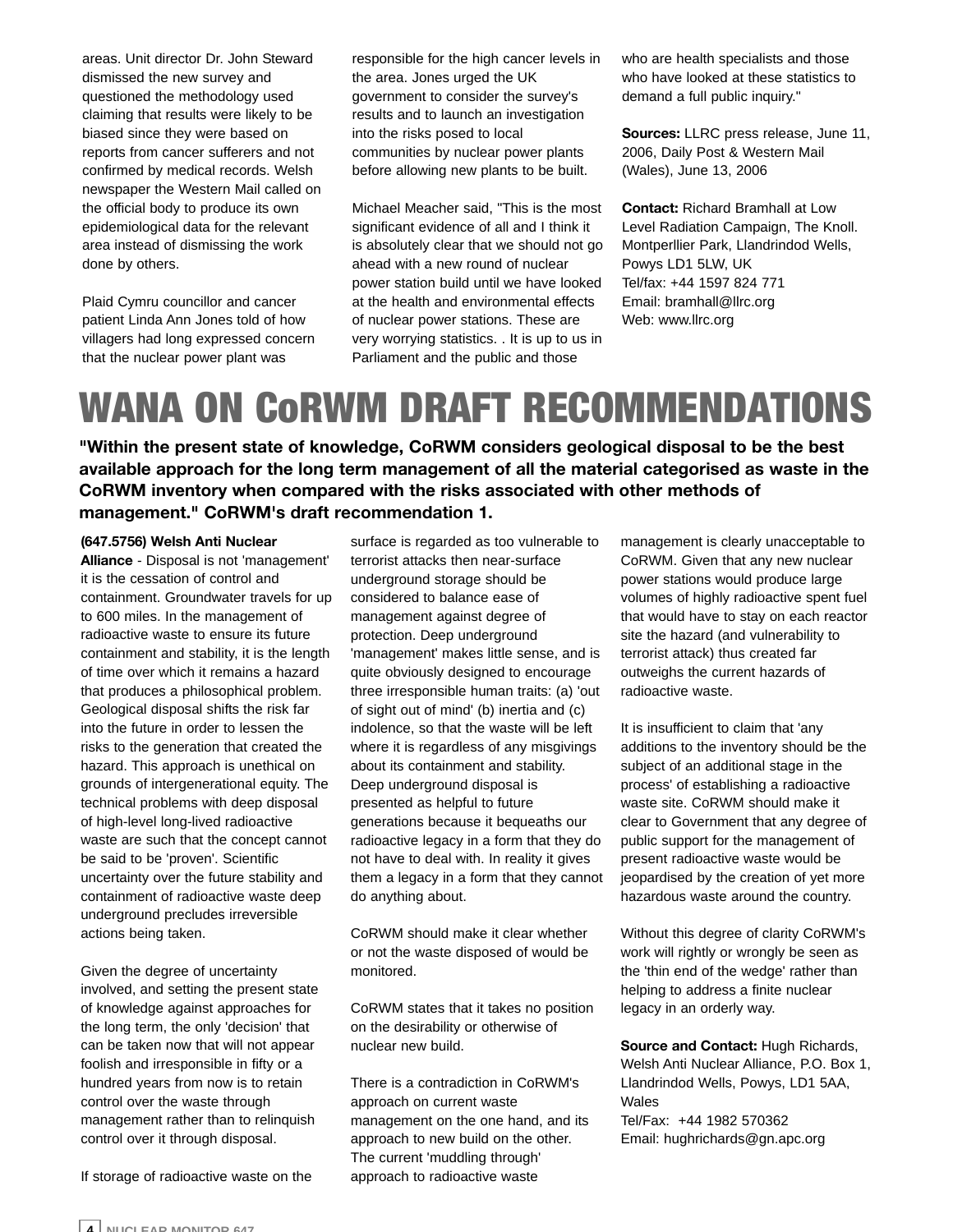areas. Unit director Dr. John Steward dismissed the new survey and questioned the methodology used claiming that results were likely to be biased since they were based on reports from cancer sufferers and not confirmed by medical records. Welsh newspaper the Western Mail called on the official body to produce its own epidemiological data for the relevant area instead of dismissing the work done by others.

Plaid Cymru councillor and cancer patient Linda Ann Jones told of how villagers had long expressed concern that the nuclear power plant was

responsible for the high cancer levels in the area. Jones urged the UK government to consider the survey's results and to launch an investigation into the risks posed to local communities by nuclear power plants before allowing new plants to be built.

Michael Meacher said, "This is the most significant evidence of all and I think it is absolutely clear that we should not go ahead with a new round of nuclear power station build until we have looked at the health and environmental effects of nuclear power stations. These are very worrying statistics. . It is up to us in Parliament and the public and those

who are health specialists and those who have looked at these statistics to demand a full public inquiry."

**Sources:** LLRC press release, June 11, 2006, Daily Post & Western Mail (Wales), June 13, 2006

**Contact:** Richard Bramhall at Low Level Radiation Campaign, The Knoll. Montperllier Park, Llandrindod Wells, Powys LD1 5LW, UK Tel/fax: +44 1597 824 771 Email: bramhall@llrc.org Web: www.llrc.org

## WANA ON CoRWM DRAFT RECOMMENDATIONS

**"Within the present state of knowledge, CoRWM considers geological disposal to be the best available approach for the long term management of all the material categorised as waste in the CoRWM inventory when compared with the risks associated with other methods of management." CoRWM's draft recommendation 1.**

#### **(647.5756) Welsh Anti Nuclear**

**Alliance** - Disposal is not 'management' it is the cessation of control and containment. Groundwater travels for up to 600 miles. In the management of radioactive waste to ensure its future containment and stability, it is the length of time over which it remains a hazard that produces a philosophical problem. Geological disposal shifts the risk far into the future in order to lessen the risks to the generation that created the hazard. This approach is unethical on grounds of intergenerational equity. The technical problems with deep disposal of high-level long-lived radioactive waste are such that the concept cannot be said to be 'proven'. Scientific uncertainty over the future stability and containment of radioactive waste deep underground precludes irreversible actions being taken.

Given the degree of uncertainty involved, and setting the present state of knowledge against approaches for the long term, the only 'decision' that can be taken now that will not appear foolish and irresponsible in fifty or a hundred years from now is to retain control over the waste through management rather than to relinquish control over it through disposal.

If storage of radioactive waste on the

surface is regarded as too vulnerable to terrorist attacks then near-surface underground storage should be considered to balance ease of management against degree of protection. Deep underground 'management' makes little sense, and is quite obviously designed to encourage three irresponsible human traits: (a) 'out of sight out of mind' (b) inertia and (c) indolence, so that the waste will be left where it is regardless of any misgivings about its containment and stability. Deep underground disposal is presented as helpful to future generations because it bequeaths our radioactive legacy in a form that they do not have to deal with. In reality it gives them a legacy in a form that they cannot do anything about.

CoRWM should make it clear whether or not the waste disposed of would be monitored.

CoRWM states that it takes no position on the desirability or otherwise of nuclear new build.

There is a contradiction in CoRWM's approach on current waste management on the one hand, and its approach to new build on the other. The current 'muddling through' approach to radioactive waste

management is clearly unacceptable to CoRWM. Given that any new nuclear power stations would produce large volumes of highly radioactive spent fuel that would have to stay on each reactor site the hazard (and vulnerability to terrorist attack) thus created far outweighs the current hazards of radioactive waste.

It is insufficient to claim that 'any additions to the inventory should be the subject of an additional stage in the process' of establishing a radioactive waste site. CoRWM should make it clear to Government that any degree of public support for the management of present radioactive waste would be jeopardised by the creation of yet more hazardous waste around the country.

Without this degree of clarity CoRWM's work will rightly or wrongly be seen as the 'thin end of the wedge' rather than helping to address a finite nuclear legacy in an orderly way.

**Source and Contact:** Hugh Richards, Welsh Anti Nuclear Alliance, P.O. Box 1, Llandrindod Wells, Powys, LD1 5AA, **Wales** Tel/Fax: +44 1982 570362 Email: hughrichards@gn.apc.org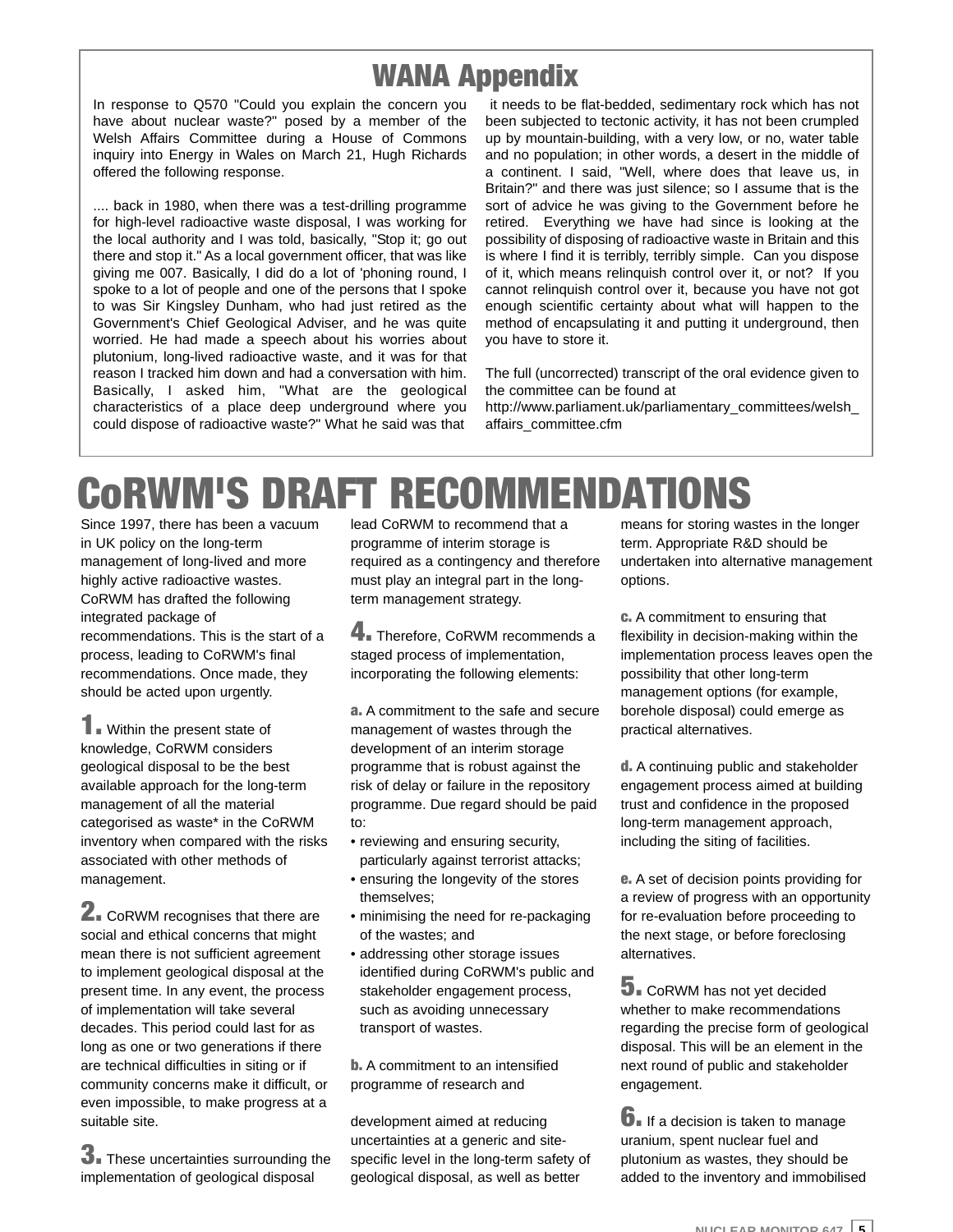### WANA Appendix

In response to Q570 "Could you explain the concern you have about nuclear waste?" posed by a member of the Welsh Affairs Committee during a House of Commons inquiry into Energy in Wales on March 21, Hugh Richards offered the following response.

.... back in 1980, when there was a test-drilling programme for high-level radioactive waste disposal, I was working for the local authority and I was told, basically, "Stop it; go out there and stop it." As a local government officer, that was like giving me 007. Basically, I did do a lot of 'phoning round, I spoke to a lot of people and one of the persons that I spoke to was Sir Kingsley Dunham, who had just retired as the Government's Chief Geological Adviser, and he was quite worried. He had made a speech about his worries about plutonium, long-lived radioactive waste, and it was for that reason I tracked him down and had a conversation with him. Basically, I asked him, "What are the geological characteristics of a place deep underground where you could dispose of radioactive waste?" What he said was that

it needs to be flat-bedded, sedimentary rock which has not been subjected to tectonic activity, it has not been crumpled up by mountain-building, with a very low, or no, water table and no population; in other words, a desert in the middle of a continent. I said, "Well, where does that leave us, in Britain?" and there was just silence; so I assume that is the sort of advice he was giving to the Government before he retired. Everything we have had since is looking at the possibility of disposing of radioactive waste in Britain and this is where I find it is terribly, terribly simple. Can you dispose of it, which means relinquish control over it, or not? If you cannot relinquish control over it, because you have not got enough scientific certainty about what will happen to the method of encapsulating it and putting it underground, then you have to store it.

The full (uncorrected) transcript of the oral evidence given to the committee can be found at

http://www.parliament.uk/parliamentary\_committees/welsh\_ affairs\_committee.cfm

# CoRWM'S DRAFT RECOMMENDATIONS

Since 1997, there has been a vacuum in UK policy on the long-term management of long-lived and more highly active radioactive wastes. CoRWM has drafted the following integrated package of recommendations. This is the start of a process, leading to CoRWM's final recommendations. Once made, they should be acted upon urgently.

**1.** Within the present state of knowledge, CoRWM considers geological disposal to be the best available approach for the long-term management of all the material categorised as waste\* in the CoRWM inventory when compared with the risks associated with other methods of management.

**2.** CoRWM recognises that there are social and ethical concerns that might mean there is not sufficient agreement to implement geological disposal at the present time. In any event, the process of implementation will take several decades. This period could last for as long as one or two generations if there are technical difficulties in siting or if community concerns make it difficult, or even impossible, to make progress at a suitable site.

**3.** These uncertainties surrounding the implementation of geological disposal

lead CoRWM to recommend that a programme of interim storage is required as a contingency and therefore must play an integral part in the longterm management strategy.

**4.** Therefore, CoRWM recommends a staged process of implementation, incorporating the following elements:

a. A commitment to the safe and secure management of wastes through the development of an interim storage programme that is robust against the risk of delay or failure in the repository programme. Due regard should be paid to:

- reviewing and ensuring security, particularly against terrorist attacks;
- ensuring the longevity of the stores themselves;
- minimising the need for re-packaging of the wastes; and
- addressing other storage issues identified during CoRWM's public and stakeholder engagement process, such as avoiding unnecessary transport of wastes.

**b.** A commitment to an intensified programme of research and

development aimed at reducing uncertainties at a generic and sitespecific level in the long-term safety of geological disposal, as well as better

means for storing wastes in the longer term. Appropriate R&D should be undertaken into alternative management options.

c. A commitment to ensuring that flexibility in decision-making within the implementation process leaves open the possibility that other long-term management options (for example, borehole disposal) could emerge as practical alternatives.

d. A continuing public and stakeholder engagement process aimed at building trust and confidence in the proposed long-term management approach, including the siting of facilities.

e. A set of decision points providing for a review of progress with an opportunity for re-evaluation before proceeding to the next stage, or before foreclosing alternatives.

**5.** CoRWM has not yet decided whether to make recommendations regarding the precise form of geological disposal. This will be an element in the next round of public and stakeholder engagement.

 $\mathbf{6}$ . If a decision is taken to manage uranium, spent nuclear fuel and plutonium as wastes, they should be added to the inventory and immobilised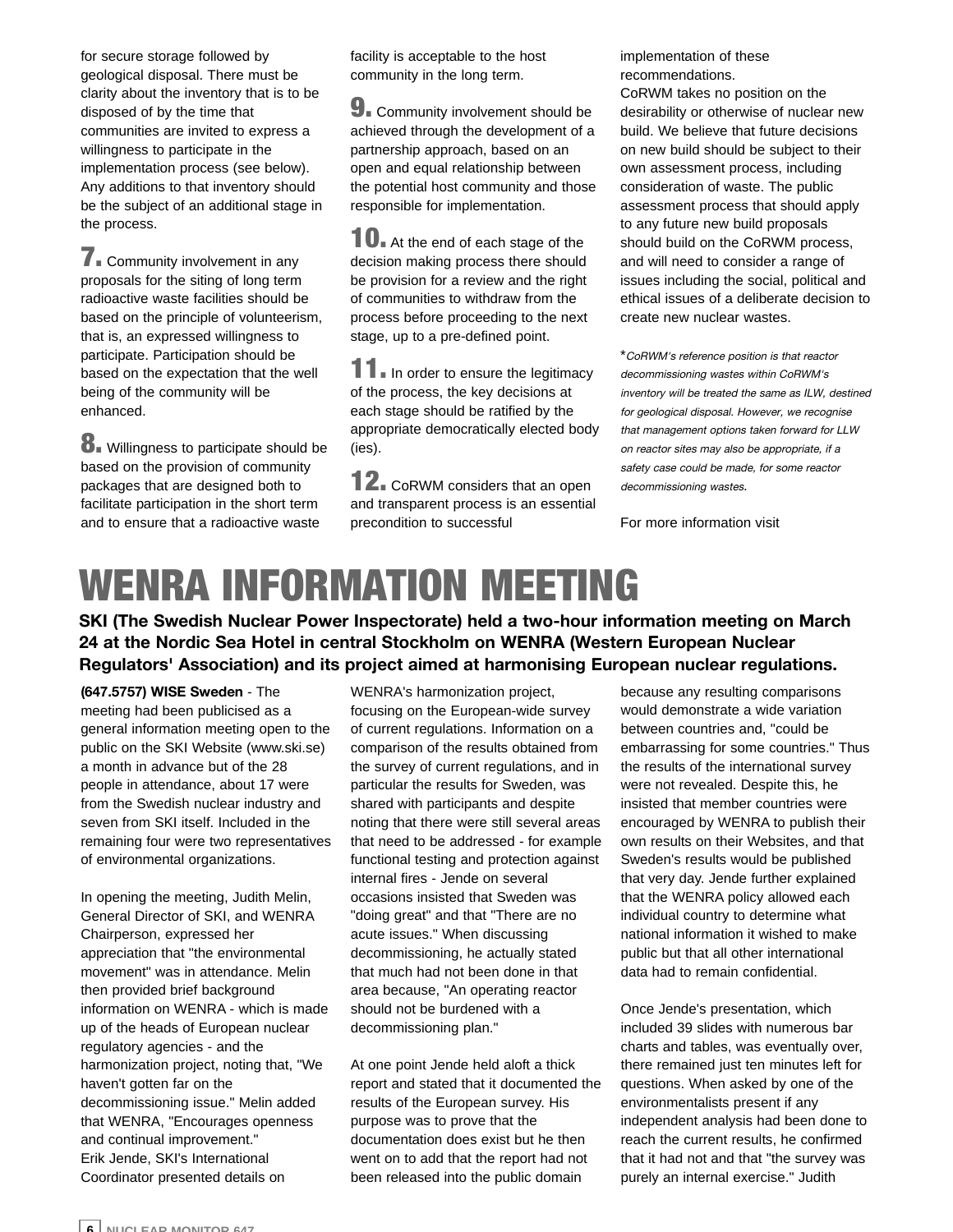for secure storage followed by geological disposal. There must be clarity about the inventory that is to be disposed of by the time that communities are invited to express a willingness to participate in the implementation process (see below). Any additions to that inventory should be the subject of an additional stage in the process.

**7.** Community involvement in any proposals for the siting of long term radioactive waste facilities should be based on the principle of volunteerism, that is, an expressed willingness to participate. Participation should be based on the expectation that the well being of the community will be enhanced.

8. Willingness to participate should be based on the provision of community packages that are designed both to facilitate participation in the short term and to ensure that a radioactive waste

facility is acceptable to the host community in the long term.

**9.** Community involvement should be achieved through the development of a partnership approach, based on an open and equal relationship between the potential host community and those responsible for implementation.

10. At the end of each stage of the decision making process there should be provision for a review and the right of communities to withdraw from the process before proceeding to the next stage, up to a pre-defined point.

11. In order to ensure the legitimacy of the process, the key decisions at each stage should be ratified by the appropriate democratically elected body (ies).

12. CoRWM considers that an open and transparent process is an essential precondition to successful

implementation of these recommendations. CoRWM takes no position on the desirability or otherwise of nuclear new build. We believe that future decisions on new build should be subject to their own assessment process, including consideration of waste. The public assessment process that should apply to any future new build proposals should build on the CoRWM process, and will need to consider a range of issues including the social, political and ethical issues of a deliberate decision to create new nuclear wastes.

\*CoRWM's reference position is that reactor decommissioning wastes within CoRWM's inventory will be treated the same as ILW, destined for geological disposal. However, we recognise that management options taken forward for LLW on reactor sites may also be appropriate, if a safety case could be made, for some reactor decommissioning wastes.

For more information visit

# WENRA INFORMATION MEETING

**SKI (The Swedish Nuclear Power Inspectorate) held a two-hour information meeting on March 24 at the Nordic Sea Hotel in central Stockholm on WENRA (Western European Nuclear Regulators' Association) and its project aimed at harmonising European nuclear regulations.**

**(647.5757) WISE Sweden** - The meeting had been publicised as a general information meeting open to the public on the SKI Website (www.ski.se) a month in advance but of the 28 people in attendance, about 17 were from the Swedish nuclear industry and seven from SKI itself. Included in the remaining four were two representatives of environmental organizations.

In opening the meeting, Judith Melin, General Director of SKI, and WENRA Chairperson, expressed her appreciation that "the environmental movement" was in attendance. Melin then provided brief background information on WENRA - which is made up of the heads of European nuclear regulatory agencies - and the harmonization project, noting that, "We haven't gotten far on the decommissioning issue." Melin added that WENRA, "Encourages openness and continual improvement." Erik Jende, SKI's International Coordinator presented details on

WENRA's harmonization project, focusing on the European-wide survey of current regulations. Information on a comparison of the results obtained from the survey of current regulations, and in particular the results for Sweden, was shared with participants and despite noting that there were still several areas that need to be addressed - for example functional testing and protection against internal fires - Jende on several occasions insisted that Sweden was "doing great" and that "There are no acute issues." When discussing decommissioning, he actually stated that much had not been done in that area because, "An operating reactor should not be burdened with a decommissioning plan."

At one point Jende held aloft a thick report and stated that it documented the results of the European survey. His purpose was to prove that the documentation does exist but he then went on to add that the report had not been released into the public domain

because any resulting comparisons would demonstrate a wide variation between countries and, "could be embarrassing for some countries." Thus the results of the international survey were not revealed. Despite this, he insisted that member countries were encouraged by WENRA to publish their own results on their Websites, and that Sweden's results would be published that very day. Jende further explained that the WENRA policy allowed each individual country to determine what national information it wished to make public but that all other international data had to remain confidential.

Once Jende's presentation, which included 39 slides with numerous bar charts and tables, was eventually over, there remained just ten minutes left for questions. When asked by one of the environmentalists present if any independent analysis had been done to reach the current results, he confirmed that it had not and that "the survey was purely an internal exercise." Judith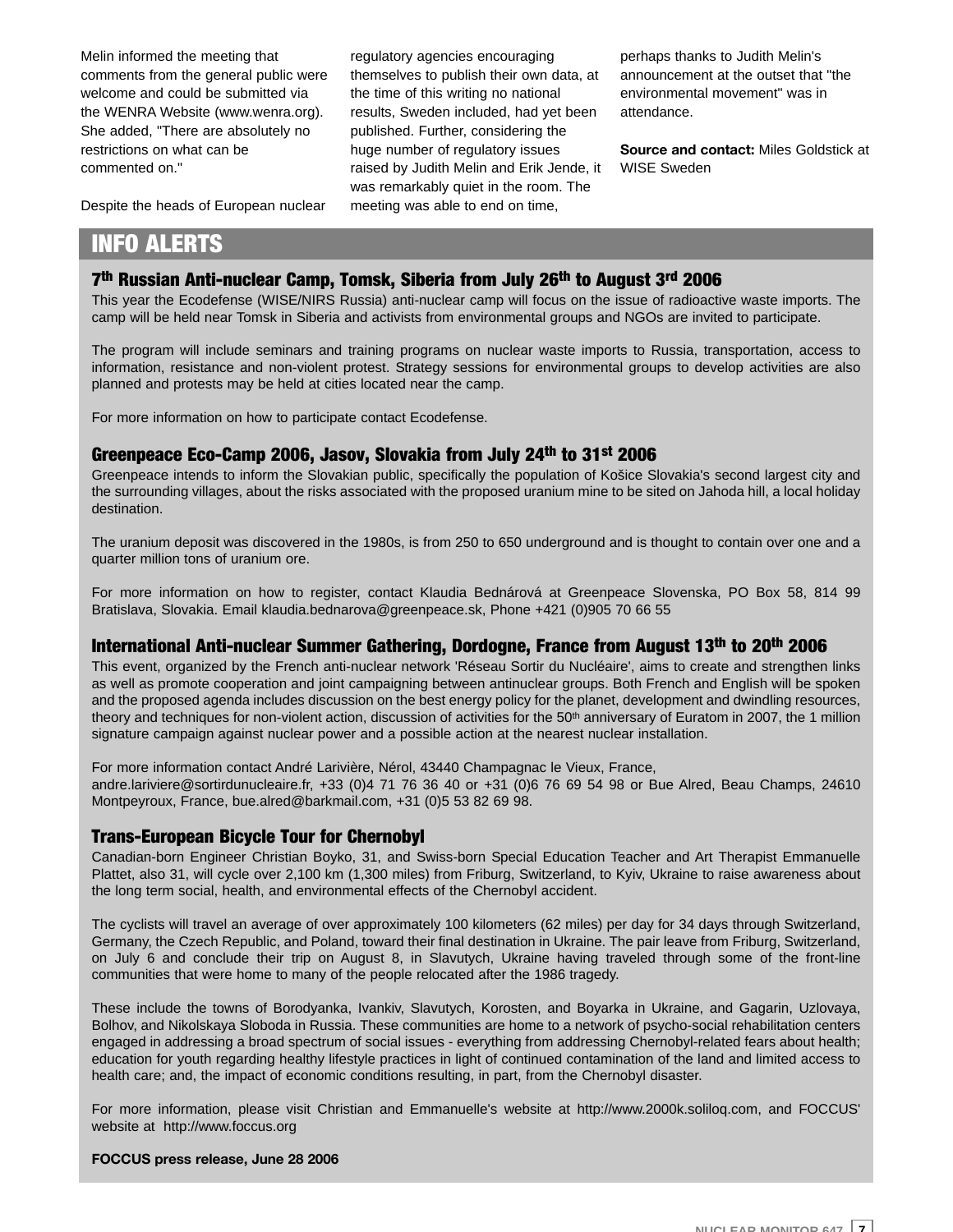Melin informed the meeting that comments from the general public were welcome and could be submitted via the WENRA Website (www.wenra.org). She added, "There are absolutely no restrictions on what can be commented on."

Despite the heads of European nuclear

regulatory agencies encouraging themselves to publish their own data, at the time of this writing no national results, Sweden included, had yet been published. Further, considering the huge number of regulatory issues raised by Judith Melin and Erik Jende, it was remarkably quiet in the room. The meeting was able to end on time,

perhaps thanks to Judith Melin's announcement at the outset that "the environmental movement" was in attendance.

**Source and contact:** Miles Goldstick at WISE Sweden

### INFO ALERTS

#### 7th Russian Anti-nuclear Camp, Tomsk, Siberia from July 26th to August 3rd 2006

This year the Ecodefense (WISE/NIRS Russia) anti-nuclear camp will focus on the issue of radioactive waste imports. The camp will be held near Tomsk in Siberia and activists from environmental groups and NGOs are invited to participate.

The program will include seminars and training programs on nuclear waste imports to Russia, transportation, access to information, resistance and non-violent protest. Strategy sessions for environmental groups to develop activities are also planned and protests may be held at cities located near the camp.

For more information on how to participate contact Ecodefense.

#### Greenpeace Eco-Camp 2006, Jasov, Slovakia from July 24th to 31st 2006

Greenpeace intends to inform the Slovakian public, specifically the population of Košice Slovakia's second largest city and the surrounding villages, about the risks associated with the proposed uranium mine to be sited on Jahoda hill, a local holiday destination.

The uranium deposit was discovered in the 1980s, is from 250 to 650 underground and is thought to contain over one and a quarter million tons of uranium ore.

For more information on how to register, contact Klaudia Bednárová at Greenpeace Slovenska, PO Box 58, 814 99 Bratislava, Slovakia. Email klaudia.bednarova@greenpeace.sk, Phone +421 (0)905 70 66 55

#### International Anti-nuclear Summer Gathering, Dordogne, France from August 13th to 20th 2006

This event, organized by the French anti-nuclear network 'Réseau Sortir du Nucléaire', aims to create and strengthen links as well as promote cooperation and joint campaigning between antinuclear groups. Both French and English will be spoken and the proposed agenda includes discussion on the best energy policy for the planet, development and dwindling resources, theory and techniques for non-violent action, discussion of activities for the 50<sup>th</sup> anniversary of Euratom in 2007, the 1 million signature campaign against nuclear power and a possible action at the nearest nuclear installation.

For more information contact André Larivière, Nérol, 43440 Champagnac le Vieux, France, andre.lariviere@sortirdunucleaire.fr, +33 (0)4 71 76 36 40 or +31 (0)6 76 69 54 98 or Bue Alred, Beau Champs, 24610 Montpeyroux, France, bue.alred@barkmail.com, +31 (0)5 53 82 69 98.

#### Trans-European Bicycle Tour for Chernobyl

Canadian-born Engineer Christian Boyko, 31, and Swiss-born Special Education Teacher and Art Therapist Emmanuelle Plattet, also 31, will cycle over 2,100 km (1,300 miles) from Friburg, Switzerland, to Kyiv, Ukraine to raise awareness about the long term social, health, and environmental effects of the Chernobyl accident.

The cyclists will travel an average of over approximately 100 kilometers (62 miles) per day for 34 days through Switzerland, Germany, the Czech Republic, and Poland, toward their final destination in Ukraine. The pair leave from Friburg, Switzerland, on July 6 and conclude their trip on August 8, in Slavutych, Ukraine having traveled through some of the front-line communities that were home to many of the people relocated after the 1986 tragedy.

These include the towns of Borodyanka, Ivankiv, Slavutych, Korosten, and Boyarka in Ukraine, and Gagarin, Uzlovaya, Bolhov, and Nikolskaya Sloboda in Russia. These communities are home to a network of psycho-social rehabilitation centers engaged in addressing a broad spectrum of social issues - everything from addressing Chernobyl-related fears about health; education for youth regarding healthy lifestyle practices in light of continued contamination of the land and limited access to health care; and, the impact of economic conditions resulting, in part, from the Chernobyl disaster.

For more information, please visit Christian and Emmanuelle's website at http://www.2000k.soliloq.com, and FOCCUS' website at http://www.foccus.org

#### **FOCCUS press release, June 28 2006**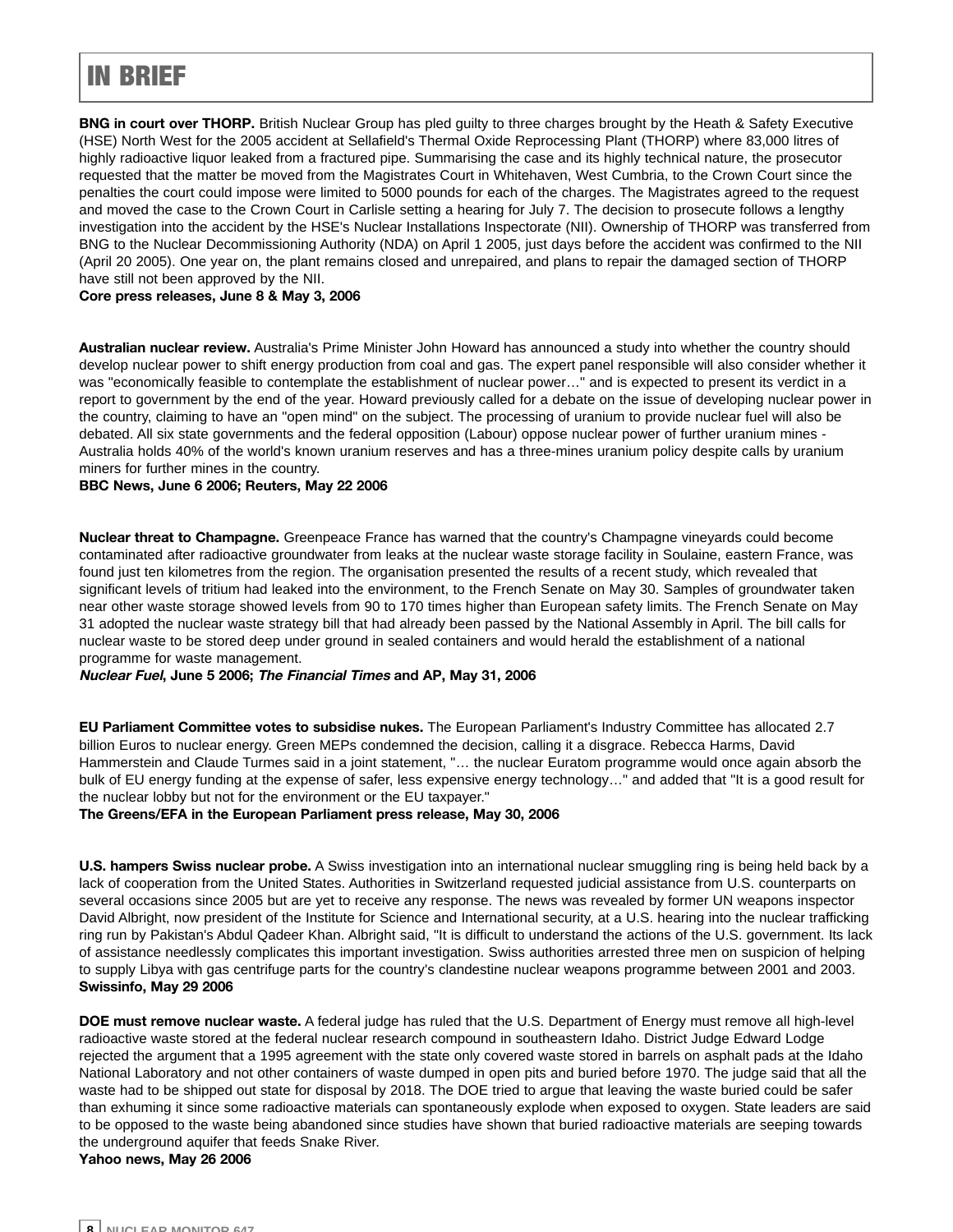### IN BRIEF

**BNG in court over THORP.** British Nuclear Group has pled guilty to three charges brought by the Heath & Safety Executive (HSE) North West for the 2005 accident at Sellafield's Thermal Oxide Reprocessing Plant (THORP) where 83,000 litres of highly radioactive liquor leaked from a fractured pipe. Summarising the case and its highly technical nature, the prosecutor requested that the matter be moved from the Magistrates Court in Whitehaven, West Cumbria, to the Crown Court since the penalties the court could impose were limited to 5000 pounds for each of the charges. The Magistrates agreed to the request and moved the case to the Crown Court in Carlisle setting a hearing for July 7. The decision to prosecute follows a lengthy investigation into the accident by the HSE's Nuclear Installations Inspectorate (NII). Ownership of THORP was transferred from BNG to the Nuclear Decommissioning Authority (NDA) on April 1 2005, just days before the accident was confirmed to the NII (April 20 2005). One year on, the plant remains closed and unrepaired, and plans to repair the damaged section of THORP have still not been approved by the NII.

#### **Core press releases, June 8 & May 3, 2006**

**Australian nuclear review.** Australia's Prime Minister John Howard has announced a study into whether the country should develop nuclear power to shift energy production from coal and gas. The expert panel responsible will also consider whether it was "economically feasible to contemplate the establishment of nuclear power…" and is expected to present its verdict in a report to government by the end of the year. Howard previously called for a debate on the issue of developing nuclear power in the country, claiming to have an "open mind" on the subject. The processing of uranium to provide nuclear fuel will also be debated. All six state governments and the federal opposition (Labour) oppose nuclear power of further uranium mines - Australia holds 40% of the world's known uranium reserves and has a three-mines uranium policy despite calls by uranium miners for further mines in the country.

#### **BBC News, June 6 2006; Reuters, May 22 2006**

**Nuclear threat to Champagne.** Greenpeace France has warned that the country's Champagne vineyards could become contaminated after radioactive groundwater from leaks at the nuclear waste storage facility in Soulaine, eastern France, was found just ten kilometres from the region. The organisation presented the results of a recent study, which revealed that significant levels of tritium had leaked into the environment, to the French Senate on May 30. Samples of groundwater taken near other waste storage showed levels from 90 to 170 times higher than European safety limits. The French Senate on May 31 adopted the nuclear waste strategy bill that had already been passed by the National Assembly in April. The bill calls for nuclear waste to be stored deep under ground in sealed containers and would herald the establishment of a national programme for waste management.

**Nuclear Fuel, June 5 2006; The Financial Times and AP, May 31, 2006**

**EU Parliament Committee votes to subsidise nukes.** The European Parliament's Industry Committee has allocated 2.7 billion Euros to nuclear energy. Green MEPs condemned the decision, calling it a disgrace. Rebecca Harms, David Hammerstein and Claude Turmes said in a joint statement, "… the nuclear Euratom programme would once again absorb the bulk of EU energy funding at the expense of safer, less expensive energy technology…" and added that "It is a good result for the nuclear lobby but not for the environment or the EU taxpayer."

**The Greens/EFA in the European Parliament press release, May 30, 2006**

**U.S. hampers Swiss nuclear probe.** A Swiss investigation into an international nuclear smuggling ring is being held back by a lack of cooperation from the United States. Authorities in Switzerland requested judicial assistance from U.S. counterparts on several occasions since 2005 but are yet to receive any response. The news was revealed by former UN weapons inspector David Albright, now president of the Institute for Science and International security, at a U.S. hearing into the nuclear trafficking ring run by Pakistan's Abdul Qadeer Khan. Albright said, "It is difficult to understand the actions of the U.S. government. Its lack of assistance needlessly complicates this important investigation. Swiss authorities arrested three men on suspicion of helping to supply Libya with gas centrifuge parts for the country's clandestine nuclear weapons programme between 2001 and 2003. **Swissinfo, May 29 2006**

**DOE must remove nuclear waste.** A federal judge has ruled that the U.S. Department of Energy must remove all high-level radioactive waste stored at the federal nuclear research compound in southeastern Idaho. District Judge Edward Lodge rejected the argument that a 1995 agreement with the state only covered waste stored in barrels on asphalt pads at the Idaho National Laboratory and not other containers of waste dumped in open pits and buried before 1970. The judge said that all the waste had to be shipped out state for disposal by 2018. The DOE tried to argue that leaving the waste buried could be safer than exhuming it since some radioactive materials can spontaneously explode when exposed to oxygen. State leaders are said to be opposed to the waste being abandoned since studies have shown that buried radioactive materials are seeping towards the underground aquifer that feeds Snake River.

**Yahoo news, May 26 2006**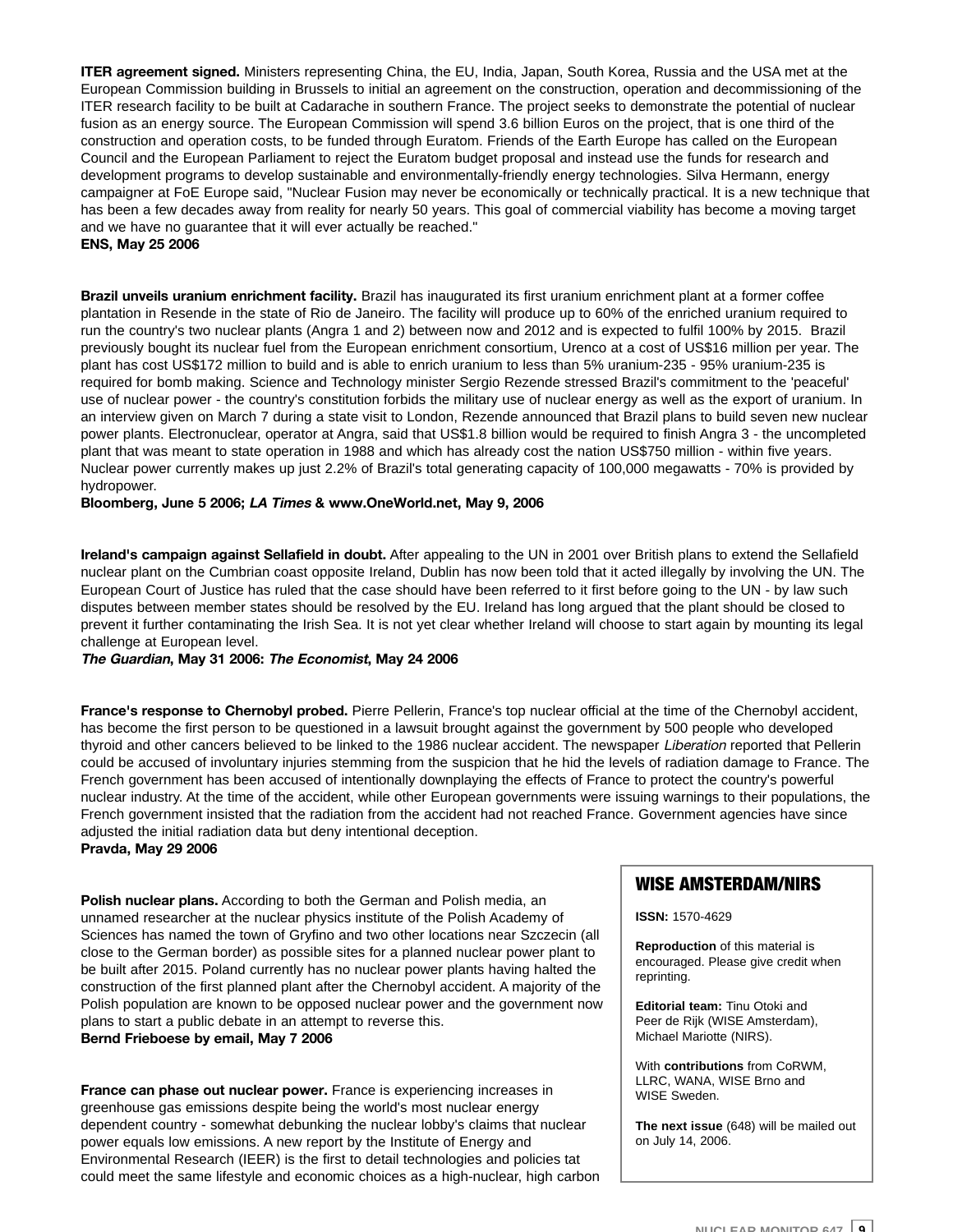**ITER agreement signed.** Ministers representing China, the EU, India, Japan, South Korea, Russia and the USA met at the European Commission building in Brussels to initial an agreement on the construction, operation and decommissioning of the ITER research facility to be built at Cadarache in southern France. The project seeks to demonstrate the potential of nuclear fusion as an energy source. The European Commission will spend 3.6 billion Euros on the project, that is one third of the construction and operation costs, to be funded through Euratom. Friends of the Earth Europe has called on the European Council and the European Parliament to reject the Euratom budget proposal and instead use the funds for research and development programs to develop sustainable and environmentally-friendly energy technologies. Silva Hermann, energy campaigner at FoE Europe said, "Nuclear Fusion may never be economically or technically practical. It is a new technique that has been a few decades away from reality for nearly 50 years. This goal of commercial viability has become a moving target and we have no guarantee that it will ever actually be reached."

**ENS, May 25 2006**

**Brazil unveils uranium enrichment facility.** Brazil has inaugurated its first uranium enrichment plant at a former coffee plantation in Resende in the state of Rio de Janeiro. The facility will produce up to 60% of the enriched uranium required to run the country's two nuclear plants (Angra 1 and 2) between now and 2012 and is expected to fulfil 100% by 2015. Brazil previously bought its nuclear fuel from the European enrichment consortium, Urenco at a cost of US\$16 million per year. The plant has cost US\$172 million to build and is able to enrich uranium to less than 5% uranium-235 - 95% uranium-235 is required for bomb making. Science and Technology minister Sergio Rezende stressed Brazil's commitment to the 'peaceful' use of nuclear power - the country's constitution forbids the military use of nuclear energy as well as the export of uranium. In an interview given on March 7 during a state visit to London, Rezende announced that Brazil plans to build seven new nuclear power plants. Electronuclear, operator at Angra, said that US\$1.8 billion would be required to finish Angra 3 - the uncompleted plant that was meant to state operation in 1988 and which has already cost the nation US\$750 million - within five years. Nuclear power currently makes up just 2.2% of Brazil's total generating capacity of 100,000 megawatts - 70% is provided by hydropower.

**Bloomberg, June 5 2006; LA Times & www.OneWorld.net, May 9, 2006**

**Ireland's campaign against Sellafield in doubt.** After appealing to the UN in 2001 over British plans to extend the Sellafield nuclear plant on the Cumbrian coast opposite Ireland, Dublin has now been told that it acted illegally by involving the UN. The European Court of Justice has ruled that the case should have been referred to it first before going to the UN - by law such disputes between member states should be resolved by the EU. Ireland has long argued that the plant should be closed to prevent it further contaminating the Irish Sea. It is not yet clear whether Ireland will choose to start again by mounting its legal challenge at European level.

**The Guardian, May 31 2006: The Economist, May 24 2006**

**France's response to Chernobyl probed.** Pierre Pellerin, France's top nuclear official at the time of the Chernobyl accident, has become the first person to be questioned in a lawsuit brought against the government by 500 people who developed thyroid and other cancers believed to be linked to the 1986 nuclear accident. The newspaper Liberation reported that Pellerin could be accused of involuntary injuries stemming from the suspicion that he hid the levels of radiation damage to France. The French government has been accused of intentionally downplaying the effects of France to protect the country's powerful nuclear industry. At the time of the accident, while other European governments were issuing warnings to their populations, the French government insisted that the radiation from the accident had not reached France. Government agencies have since adjusted the initial radiation data but deny intentional deception. **Pravda, May 29 2006**

**Polish nuclear plans.** According to both the German and Polish media, an unnamed researcher at the nuclear physics institute of the Polish Academy of Sciences has named the town of Gryfino and two other locations near Szczecin (all close to the German border) as possible sites for a planned nuclear power plant to be built after 2015. Poland currently has no nuclear power plants having halted the construction of the first planned plant after the Chernobyl accident. A majority of the Polish population are known to be opposed nuclear power and the government now plans to start a public debate in an attempt to reverse this. **Bernd Frieboese by email, May 7 2006**

**France can phase out nuclear power.** France is experiencing increases in greenhouse gas emissions despite being the world's most nuclear energy dependent country - somewhat debunking the nuclear lobby's claims that nuclear power equals low emissions. A new report by the Institute of Energy and Environmental Research (IEER) is the first to detail technologies and policies tat could meet the same lifestyle and economic choices as a high-nuclear, high carbon

#### WISE AMSTERDAM/NIRS

**ISSN:** 1570-4629

**Reproduction** of this material is encouraged. Please give credit when reprinting.

**Editorial team:** Tinu Otoki and Peer de Rijk (WISE Amsterdam), Michael Mariotte (NIRS).

With **contributions** from CoRWM, LLRC, WANA, WISE Brno and WISE Sweden.

**The next issue** (648) will be mailed out on July 14, 2006.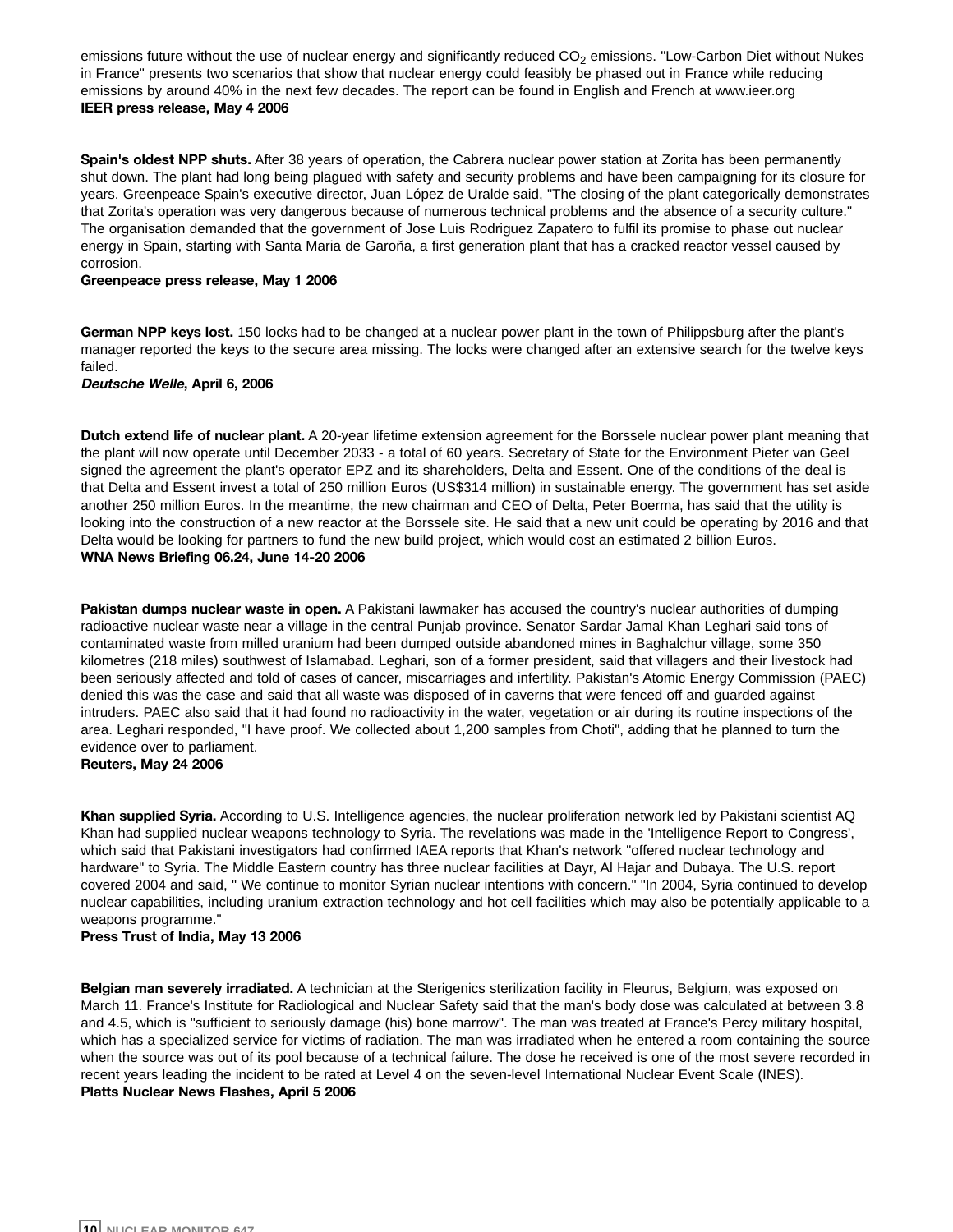emissions future without the use of nuclear energy and significantly reduced  $CO<sub>2</sub>$  emissions. "Low-Carbon Diet without Nukes in France" presents two scenarios that show that nuclear energy could feasibly be phased out in France while reducing emissions by around 40% in the next few decades. The report can be found in English and French at www.ieer.org **IEER press release, May 4 2006**

**Spain's oldest NPP shuts.** After 38 years of operation, the Cabrera nuclear power station at Zorita has been permanently shut down. The plant had long being plagued with safety and security problems and have been campaigning for its closure for years. Greenpeace Spain's executive director, Juan López de Uralde said, "The closing of the plant categorically demonstrates that Zorita's operation was very dangerous because of numerous technical problems and the absence of a security culture." The organisation demanded that the government of Jose Luis Rodriguez Zapatero to fulfil its promise to phase out nuclear energy in Spain, starting with Santa Maria de Garoña, a first generation plant that has a cracked reactor vessel caused by corrosion.

#### **Greenpeace press release, May 1 2006**

**German NPP keys lost.** 150 locks had to be changed at a nuclear power plant in the town of Philippsburg after the plant's manager reported the keys to the secure area missing. The locks were changed after an extensive search for the twelve keys failed.

#### **Deutsche Welle, April 6, 2006**

**Dutch extend life of nuclear plant.** A 20-year lifetime extension agreement for the Borssele nuclear power plant meaning that the plant will now operate until December 2033 - a total of 60 years. Secretary of State for the Environment Pieter van Geel signed the agreement the plant's operator EPZ and its shareholders, Delta and Essent. One of the conditions of the deal is that Delta and Essent invest a total of 250 million Euros (US\$314 million) in sustainable energy. The government has set aside another 250 million Euros. In the meantime, the new chairman and CEO of Delta, Peter Boerma, has said that the utility is looking into the construction of a new reactor at the Borssele site. He said that a new unit could be operating by 2016 and that Delta would be looking for partners to fund the new build project, which would cost an estimated 2 billion Euros. **WNA News Briefing 06.24, June 14-20 2006**

**Pakistan dumps nuclear waste in open.** A Pakistani lawmaker has accused the country's nuclear authorities of dumping radioactive nuclear waste near a village in the central Punjab province. Senator Sardar Jamal Khan Leghari said tons of contaminated waste from milled uranium had been dumped outside abandoned mines in Baghalchur village, some 350 kilometres (218 miles) southwest of Islamabad. Leghari, son of a former president, said that villagers and their livestock had been seriously affected and told of cases of cancer, miscarriages and infertility. Pakistan's Atomic Energy Commission (PAEC) denied this was the case and said that all waste was disposed of in caverns that were fenced off and guarded against intruders. PAEC also said that it had found no radioactivity in the water, vegetation or air during its routine inspections of the area. Leghari responded, "I have proof. We collected about 1,200 samples from Choti", adding that he planned to turn the evidence over to parliament.

#### **Reuters, May 24 2006**

**Khan supplied Syria.** According to U.S. Intelligence agencies, the nuclear proliferation network led by Pakistani scientist AQ Khan had supplied nuclear weapons technology to Syria. The revelations was made in the 'Intelligence Report to Congress', which said that Pakistani investigators had confirmed IAEA reports that Khan's network "offered nuclear technology and hardware" to Syria. The Middle Eastern country has three nuclear facilities at Dayr, Al Hajar and Dubaya. The U.S. report covered 2004 and said, " We continue to monitor Syrian nuclear intentions with concern." "In 2004, Syria continued to develop nuclear capabilities, including uranium extraction technology and hot cell facilities which may also be potentially applicable to a weapons programme."

#### **Press Trust of India, May 13 2006**

**Belgian man severely irradiated.** A technician at the Sterigenics sterilization facility in Fleurus, Belgium, was exposed on March 11. France's Institute for Radiological and Nuclear Safety said that the man's body dose was calculated at between 3.8 and 4.5, which is "sufficient to seriously damage (his) bone marrow". The man was treated at France's Percy military hospital, which has a specialized service for victims of radiation. The man was irradiated when he entered a room containing the source when the source was out of its pool because of a technical failure. The dose he received is one of the most severe recorded in recent years leading the incident to be rated at Level 4 on the seven-level International Nuclear Event Scale (INES). **Platts Nuclear News Flashes, April 5 2006**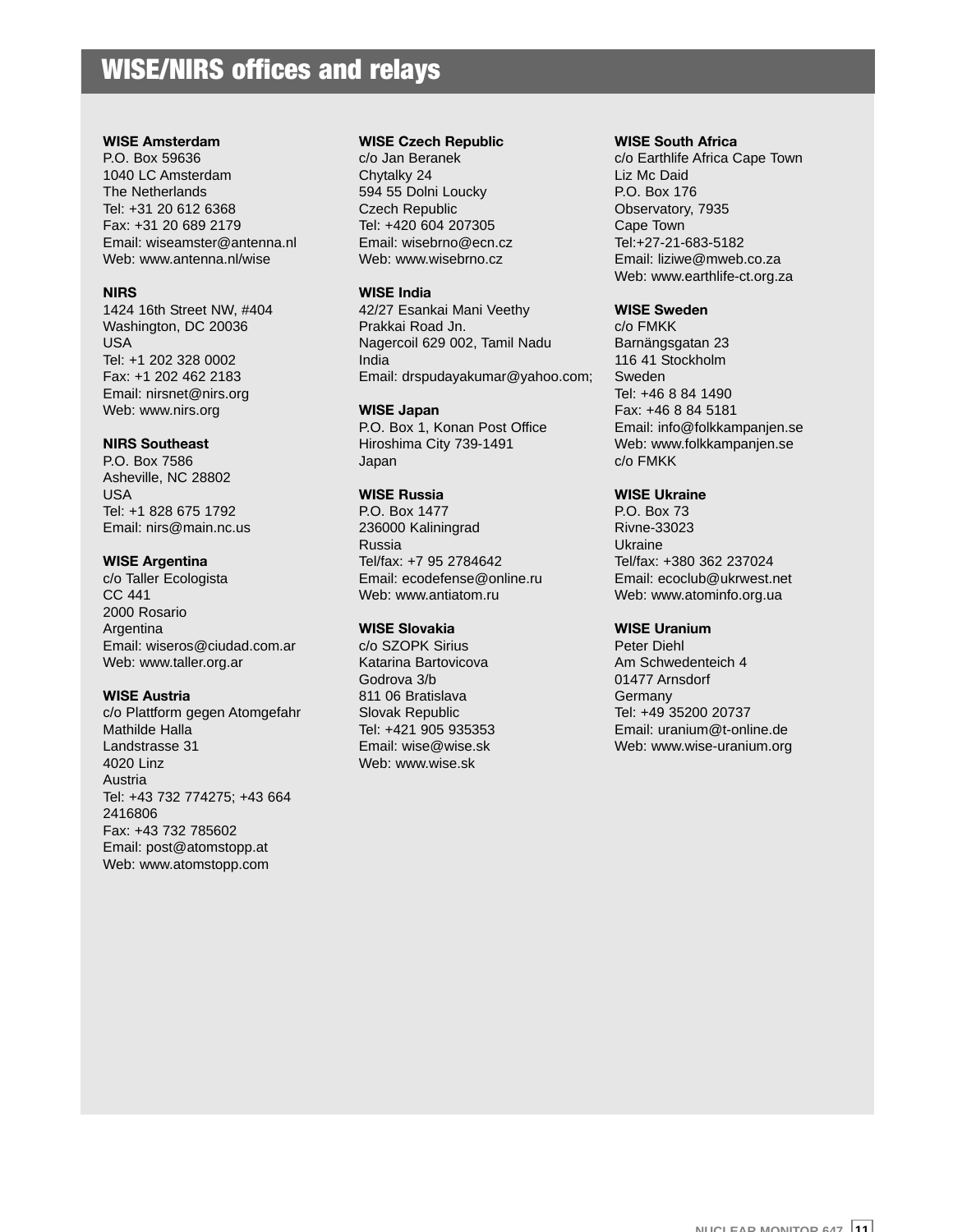### WISE/NIRS offices and relays

#### **WISE Amsterdam**

P.O. Box 59636 1040 LC Amsterdam The Netherlands Tel: +31 20 612 6368 Fax: +31 20 689 2179 Email: wiseamster@antenna.nl Web: www.antenna.nl/wise

#### **NIRS**

1424 16th Street NW, #404 Washington, DC 20036 USA Tel: +1 202 328 0002 Fax: +1 202 462 2183 Email: nirsnet@nirs.org Web: www.nirs.org

#### **NIRS Southeast**

P.O. Box 7586 Asheville, NC 28802 USA Tel: +1 828 675 1792 Email: nirs@main.nc.us

#### **WISE Argentina**

c/o Taller Ecologista CC 441 2000 Rosario Argentina Email: wiseros@ciudad.com.ar Web: www.taller.org.ar

#### **WISE Austria**

c/o Plattform gegen Atomgefahr Mathilde Halla Landstrasse 31 4020 Linz Austria Tel: +43 732 774275; +43 664 2416806 Fax: +43 732 785602 Email: post@atomstopp.at Web: www.atomstopp.com

#### **WISE Czech Republic**

c/o Jan Beranek Chytalky 24 594 55 Dolni Loucky Czech Republic Tel: +420 604 207305 Email: wisebrno@ecn.cz Web: www.wisebrno.cz

#### **WISE India**

42/27 Esankai Mani Veethy Prakkai Road Jn. Nagercoil 629 002, Tamil Nadu India Email: drspudayakumar@yahoo.com;

#### **WISE Japan**

P.O. Box 1, Konan Post Office Hiroshima City 739-1491 Japan

#### **WISE Russia**

P.O. Box 1477 236000 Kaliningrad Russia Tel/fax: +7 95 2784642 Email: ecodefense@online.ru Web: www.antiatom.ru

#### **WISE Slovakia**

c/o SZOPK Sirius Katarina Bartovicova Godrova 3/b 811 06 Bratislava Slovak Republic Tel: +421 905 935353 Email: wise@wise.sk Web: www.wise.sk

#### **WISE South Africa**

c/o Earthlife Africa Cape Town Liz Mc Daid P.O. Box 176 Observatory, 7935 Cape Town Tel:+27-21-683-5182 Email: liziwe@mweb.co.za Web: www.earthlife-ct.org.za

#### **WISE Sweden**

c/o FMKK Barnängsgatan 23 116 41 Stockholm Sweden Tel: +46 8 84 1490 Fax: +46 8 84 5181 Email: info@folkkampanjen.se Web: www.folkkampanjen.se c/o FMKK

#### **WISE Ukraine**

P.O. Box 73 Rivne-33023 Ukraine Tel/fax: +380 362 237024 Email: ecoclub@ukrwest.net Web: www.atominfo.org.ua

#### **WISE Uranium**

Peter Diehl Am Schwedenteich 4 01477 Arnsdorf Germany Tel: +49 35200 20737 Email: uranium@t-online.de Web: www.wise-uranium.org